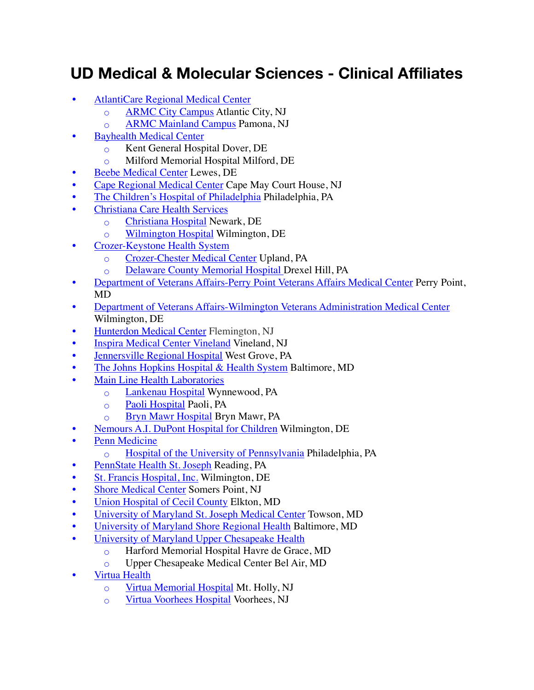## **UD Medical & Molecular Sciences - Clinical Affiliates**

- [AtlantiCare Regional Medical Center](http://www.atlanticare.org/) 
	- [ARMC City Campus](http://www.atlanticare.org/index.php/hospitals/armc-city-campus) Atlantic City, NJ
	- [ARMC Mainland Campus](http://www.atlanticare.org/index.php/hospitals/armc-mainland-campus) Pamona, NJ
- **Bayhealth Medical Center** 
	- Kent General Hospital Dover, DE
	- Milford Memorial Hospital Milford, DE
- [Beebe Medical Center](http://www.beebemed.org/) Lewes, DE
- [Cape Regional Medical Center](http://www.caperegional.com/) Cape May Court House, NJ
- [The Children's Hospital of Philadelphia](http://www.chop.edu/) Philadelphia, PA
- [Christiana Care Health Services](http://www.christianacare.org/) 
	- [Christiana Hospital](https://christianacare.org/facilities/christianahospital/) Newark, DE
	- [Wilmington Hospital](https://christianacare.org/facilities/wilmingtonhospital/) Wilmington, DE
- [Crozer-Keystone Health System](http://www.crozerkeystone.org/) 
	- [Crozer-Chester Medical Center](http://www.crozerkeystone.org/Locations/crozer-chester-medical-center/) Upland, PA
	- [Delaware County Memorial Hospital](http://www.crozerkeystone.org/Locations/delaware-county-memorial-hospital/) Drexel Hill, PA
- [Department of Veterans Affairs-Perry Point Veterans Affairs Medical Center](http://www2.va.gov/directory/guide/home.asp) Perry Point, MD
- [Department of Veterans Affairs-Wilmington Veterans Administration Medical Center](http://www2.va.gov/directory/guide/home.asp) Wilmington, DE
- [Hunterdon Medical Center](http://www.hunterdonhealthcare.org/) Flemington, NJ
- [Inspira Medical Center Vineland](http://www.inspirahealthnetwork.org/) Vineland, NJ
- [Jennersville Regional Hospital](http://www.jennersville.com/jennersville-regional-hospital/home.aspx) West Grove, PA
- [The Johns Hopkins Hospital & Health System](http://www.hopkinsmedicine.org/the_johns_hopkins_hospital/index.html) Baltimore, MD
- **Main Line Health Laboratories** 
	- [Lankenau Hospital](https://www.mainlinehealth.org/locations/lankenau-medical-center) Wynnewood, PA
	- [Paoli Hospital](https://www.mainlinehealth.org/locations/paoli-hospital) Paoli, PA
	- [Bryn Mawr Hospital](https://www.mainlinehealth.org/locations/bryn-mawr-hospital) Bryn Mawr, PA
- [Nemours A.I. DuPont Hospital for Children](https://www.nemours.org/locations/nemours-dupont.html) Wilmington, DE
- [Penn Medicine](https://www.pennmedicine.org/) 
	- [Hospital of the University of Pennsylvania](https://www.pennmedicine.org/for-patients-and-visitors/penn-medicine-locations/hospital-of-the-university-of-pennsylvania) Philadelphia, PA
- [PennState Health St. Joseph](http://www.thefutureofhealthcare.org/) Reading, PA
- [St. Francis Hospital, Inc.](http://www.stfrancishealthcare.org/) Wilmington, DE
- **[Shore Medical Center](http://shoremedicalcenter.org/) Somers Point, NJ**
- [Union Hospital of Cecil County](http://www.uhcc.com/) Elkton, MD
- [University of Maryland St. Joseph Medical Center](https://www.stjosephtowson.com/) Towson, MD
- [University of Maryland Shore Regional Health](http://umshoreregional.org/) Baltimore, MD
- [University of Maryland Upper Chesapeake Health](http://www.umuch.org/) 
	- Harford Memorial Hospital Havre de Grace, MD
	- Upper Chesapeake Medical Center Bel Air, MD
- [Virtua Health](http://virtua.org/) 
	- Virtua [Memorial Hospital](https://www.virtua.org/locations/memorial-hospital) Mt. Holly, NJ
	- [Virtua Voorhees Hospital](https://www.virtua.org/locations/vorhees-hospital) Voorhees, NJ